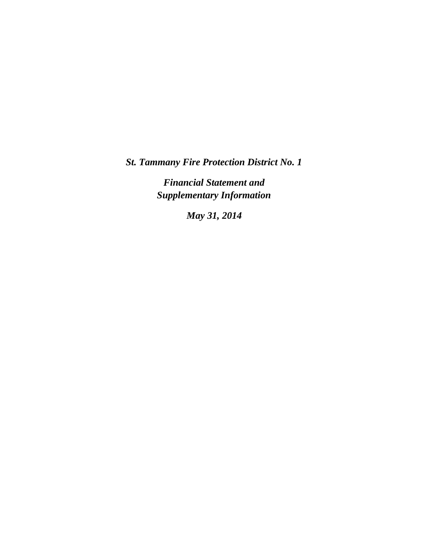*St. Tammany Fire Protection District No. 1*

*Financial Statement and Supplementary Information*

*May 31, 2014*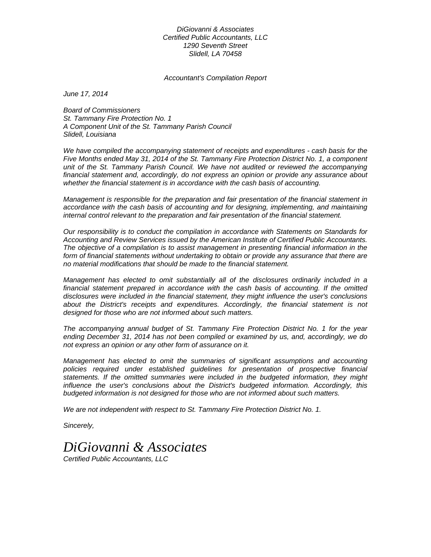*DiGiovanni & Associates Certified Public Accountants, LLC 1290 Seventh Street Slidell, LA 70458* 

*Accountant's Compilation Report* 

*June 17, 2014* 

*Board of Commissioners St. Tammany Fire Protection No. 1 A Component Unit of the St. Tammany Parish Council Slidell, Louisiana* 

*We have compiled the accompanying statement of receipts and expenditures - cash basis for the Five Months ended May 31, 2014 of the St. Tammany Fire Protection District No. 1, a component unit of the St. Tammany Parish Council. We have not audited or reviewed the accompanying financial statement and, accordingly, do not express an opinion or provide any assurance about whether the financial statement is in accordance with the cash basis of accounting.* 

*Management is responsible for the preparation and fair presentation of the financial statement in accordance with the cash basis of accounting and for designing, implementing, and maintaining internal control relevant to the preparation and fair presentation of the financial statement.* 

*Our responsibility is to conduct the compilation in accordance with Statements on Standards for Accounting and Review Services issued by the American Institute of Certified Public Accountants. The objective of a compilation is to assist management in presenting financial information in the form of financial statements without undertaking to obtain or provide any assurance that there are no material modifications that should be made to the financial statement.* 

*Management has elected to omit substantially all of the disclosures ordinarily included in a*  financial statement prepared in accordance with the cash basis of accounting. If the omitted *disclosures were included in the financial statement, they might influence the user's conclusions*  about the District's receipts and expenditures. Accordingly, the financial statement is not *designed for those who are not informed about such matters.* 

*The accompanying annual budget of St. Tammany Fire Protection District No. 1 for the year ending December 31, 2014 has not been compiled or examined by us, and, accordingly, we do not express an opinion or any other form of assurance on it.* 

*Management has elected to omit the summaries of significant assumptions and accounting policies required under established guidelines for presentation of prospective financial statements. If the omitted summaries were included in the budgeted information, they might influence the user's conclusions about the District's budgeted information. Accordingly, this budgeted information is not designed for those who are not informed about such matters.* 

*We are not independent with respect to St. Tammany Fire Protection District No. 1.* 

*Sincerely,* 

## *DiGiovanni & Associates*

*Certified Public Accountants, LLC*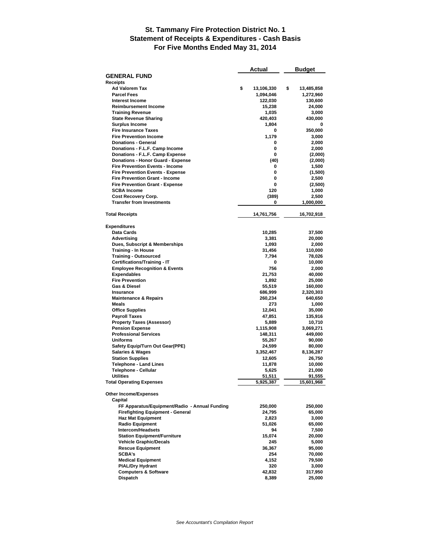## **St. Tammany Fire Protection District No. 1 Statement of Receipts & Expenditures - Cash Basis For Five Months Ended May 31, 2014**

|                                                                   | Actual |                  | Budget |                     |
|-------------------------------------------------------------------|--------|------------------|--------|---------------------|
| <b>GENERAL FUND</b>                                               |        |                  |        |                     |
| Receipts                                                          |        |                  |        |                     |
| <b>Ad Valorem Tax</b>                                             | \$     | 13,106,330       | \$     | 13,485,858          |
| <b>Parcel Fees</b>                                                |        | 1,094,046        |        | 1,272,960           |
| <b>Interest Income</b>                                            |        | 122,030          |        | 130,600             |
| <b>Reimbursement Income</b>                                       |        | 15,238           |        | 24,000              |
| <b>Training Revenue</b>                                           |        | 1,035            |        | 3,000               |
| <b>State Revenue Sharing</b>                                      |        | 420,403          |        | 430,000             |
| <b>Surplus Income</b>                                             |        | 1,804            |        | 0                   |
| <b>Fire Insurance Taxes</b>                                       |        | 0                |        | 350,000             |
| <b>Fire Prevention Income</b>                                     |        | 1,179            |        | 3,000               |
| <b>Donations - General</b>                                        |        | 0<br>0           |        | 2,000               |
| Donations - F.L.F. Camp Income<br>Donations - F.L.F. Camp Expense |        | 0                |        | 2,000               |
| <b>Donations - Honor Guard - Expense</b>                          |        | (40)             |        | (2,000)             |
| <b>Fire Prevention Events - Income</b>                            |        | 0                |        | (2,000)<br>1,500    |
| <b>Fire Prevention Events - Expense</b>                           |        | 0                |        | (1,500)             |
| <b>Fire Prevention Grant - Income</b>                             |        | 0                |        | 2,500               |
| <b>Fire Prevention Grant - Expense</b>                            |        | 0                |        | (2,500)             |
| <b>SCBA Income</b>                                                |        | 120              |        | 1,000               |
| Cost Recovery Corp.                                               |        | (389)            |        | 2,500               |
| <b>Transfer from Investments</b>                                  |        | 0                |        | 1,000,000           |
|                                                                   |        |                  |        |                     |
| <b>Total Receipts</b>                                             |        | 14,761,756       |        | 16,702,918          |
| Expenditures                                                      |        |                  |        |                     |
| Data Cards                                                        |        | 10,285           |        | 37,500              |
| <b>Advertising</b>                                                |        | 3,381            |        | 20,000              |
| Dues, Subscript & Memberships                                     |        | 1,093            |        | 2,000               |
| <b>Training - In House</b>                                        |        | 31,456           |        | 110,000             |
| <b>Training - Outsourced</b>                                      |        | 7,794            |        | 78,026              |
| Certifications/Training - IT                                      |        | 0                |        | 10,000              |
| <b>Employee Recognition &amp; Events</b>                          |        | 756              |        | 2,000               |
| <b>Expendables</b>                                                |        | 21,753           |        | 40,000              |
| <b>Fire Prevention</b>                                            |        | 1,892            |        | 25,000              |
| Gas & Diesel                                                      |        | 55,519           |        | 160,000             |
| Insurance                                                         |        | 686,999          |        | 2,320,303           |
| <b>Maintenance &amp; Repairs</b>                                  |        | 260,234          |        | 640,650             |
| <b>Meals</b>                                                      |        | 273              |        | 1,000               |
| <b>Office Supplies</b>                                            |        | 12,041           |        | 35,000              |
| <b>Payroll Taxes</b>                                              |        | 47,851           |        | 135,916             |
| <b>Property Taxes (Assessor)</b>                                  |        | 5,889            |        | 10,710              |
| <b>Pension Expense</b>                                            |        | 1,115,908        |        | 3,069,271           |
| <b>Professional Services</b><br><b>Uniforms</b>                   |        | 148,311          |        | 449,000             |
| Safety Equip/Turn Out Gear(PPE)                                   |        | 55,267<br>24,599 |        | 90,000              |
| <b>Salaries &amp; Wages</b>                                       |        | 3,352,467        |        | 80,000<br>8,136,287 |
| <b>Station Supplies</b>                                           |        | 12,605           |        | 26,750              |
| <b>Telephone - Land Lines</b>                                     |        | 11,878           |        | 10,000              |
| <b>Telephone - Cellular</b>                                       |        | 5,625            |        | 21,000              |
| <b>Utilities</b>                                                  |        | 51,511           |        | 91,555              |
| <b>Total Operating Expenses</b>                                   |        | 5,925,387        |        | 15,601,968          |
| Other Income/Expenses                                             |        |                  |        |                     |
| Capital                                                           |        |                  |        |                     |
| FF Apparatus/Equipment/Radio - Annual Funding                     |        | 250,000          |        | 250,000             |
| <b>Firefighting Equipment - General</b>                           |        | 24,795           |        | 65,000              |
| <b>Haz Mat Equipment</b>                                          |        | 2,823            |        | 3,000               |
| <b>Radio Equipment</b>                                            |        | 51,026           |        | 65,000              |
| Intercom/Headsets                                                 |        | 94               |        | 7,500               |
| <b>Station Equipment/Furniture</b>                                |        | 15,074           |        | 20,000              |
| <b>Vehicle Graphic/Decals</b>                                     |        | 245              |        | 5,000               |
| <b>Rescue Equipment</b>                                           |        | 36,367           |        | 95,000              |
| <b>SCBA's</b>                                                     |        | 254              |        | 70,000              |
| <b>Medical Equipment</b>                                          |        | 4,152            |        | 79,500              |
| <b>PIAL/Dry Hydrant</b>                                           |        | 320              |        | 3,000               |
| <b>Computers &amp; Software</b>                                   |        | 42,832           |        | 317,950             |
| <b>Dispatch</b>                                                   |        | 8,389            |        | 25,000              |